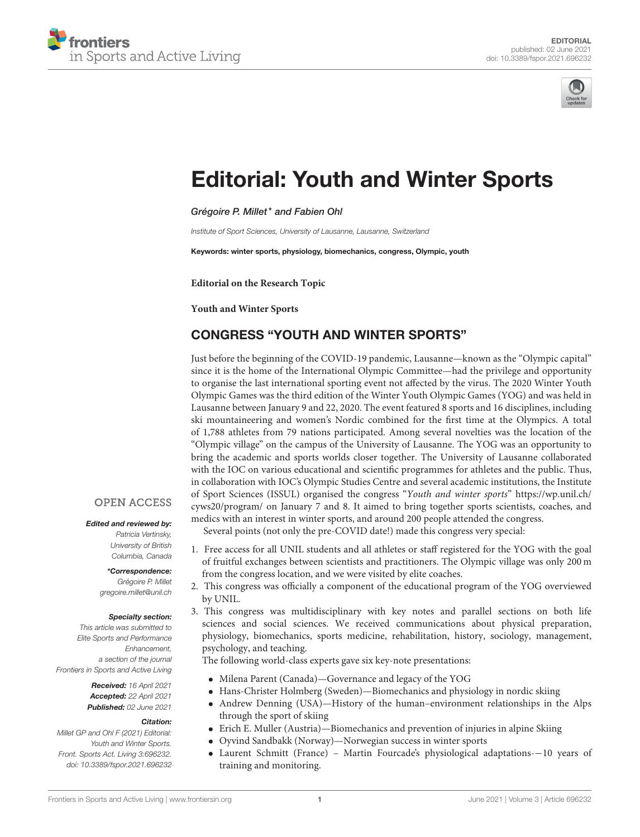



# [Editorial: Youth and Winter Sports](https://www.frontiersin.org/articles/10.3389/fspor.2021.696232/full)

Grégoire P. Millet\* and Fabien Ohl

Institute of Sport Sciences, University of Lausanne, Lausanne, Switzerland

Keywords: winter sports, physiology, biomechanics, congress, Olympic, youth

**Editorial on the Research Topic**

**[Youth and Winter Sports](https://www.frontiersin.org/research-topics/11525/youth-and-winter-sports)**

# CONGRESS "YOUTH AND WINTER SPORTS"

Just before the beginning of the COVID-19 pandemic, Lausanne—known as the "Olympic capital" since it is the home of the International Olympic Committee—had the privilege and opportunity to organise the last international sporting event not affected by the virus. The 2020 Winter Youth Olympic Games was the third edition of the Winter Youth Olympic Games (YOG) and was held in Lausanne between January 9 and 22, 2020. The event featured 8 sports and 16 disciplines, including ski mountaineering and women's Nordic combined for the first time at the Olympics. A total of 1,788 athletes from 79 nations participated. Among several novelties was the location of the "Olympic village" on the campus of the University of Lausanne. The YOG was an opportunity to bring the academic and sports worlds closer together. The University of Lausanne collaborated with the IOC on various educational and scientific programmes for athletes and the public. Thus, in collaboration with IOC's Olympic Studies Centre and several academic institutions, the Institute of Sport Sciences (ISSUL) organised the congress "Youth and winter sports" [https://wp.unil.ch/](https://wp.unil.ch/cyws20/program/) [cyws20/program/](https://wp.unil.ch/cyws20/program/) on January 7 and 8. It aimed to bring together sports scientists, coaches, and medics with an interest in winter sports, and around 200 people attended the congress.

Several points (not only the pre-COVID date!) made this congress very special:

- 1. Free access for all UNIL students and all athletes or staff registered for the YOG with the goal of fruitful exchanges between scientists and practitioners. The Olympic village was only 200 m from the congress location, and we were visited by elite coaches.
- 2. This congress was officially a component of the educational program of the YOG overviewed by UNIL.
- 3. This congress was multidisciplinary with key notes and parallel sections on both life sciences and social sciences. We received communications about physical preparation, physiology, biomechanics, sports medicine, rehabilitation, history, sociology, management, psychology, and teaching.

The following world-class experts gave six key-note presentations:

- Milena Parent (Canada)—Governance and legacy of the YOG
- Hans-Christer Holmberg (Sweden)—Biomechanics and physiology in nordic skiing
- Andrew Denning (USA)—History of the human–environment relationships in the Alps through the sport of skiing
- Erich E. Muller (Austria)—Biomechanics and prevention of injuries in alpine Skiing
- Oyvind Sandbakk (Norway)—Norwegian success in winter sports
- Laurent Schmitt (France) Martin Fourcade's physiological adaptations-−10 years of training and monitoring.

### **OPEN ACCESS**

### Edited and reviewed by:

Patricia Vertinsky, University of British Columbia, Canada

\*Correspondence: Grégoire P. Millet [gregoire.millet@unil.ch](mailto:gregoire.millet@unil.ch)

#### Specialty section:

This article was submitted to Elite Sports and Performance Enhancement, a section of the journal Frontiers in Sports and Active Living

> Received: 16 April 2021 Accepted: 22 April 2021 Published: 02 June 2021

### Citation:

Millet GP and Ohl F (2021) Editorial: Youth and Winter Sports. Front. Sports Act. Living 3:696232. doi: [10.3389/fspor.2021.696232](https://doi.org/10.3389/fspor.2021.696232)